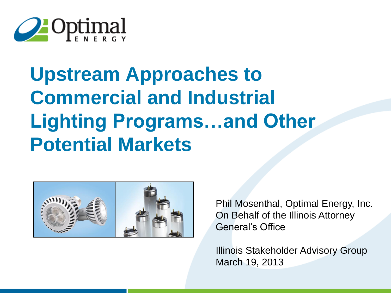

# **Upstream Approaches to Commercial and Industrial Lighting Programs…and Other Potential Markets**



Phil Mosenthal, Optimal Energy, Inc. On Behalf of the Illinois Attorney General's Office

Illinois Stakeholder Advisory Group March 19, 2013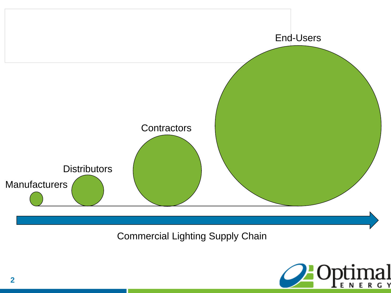

Commercial Lighting Supply Chain

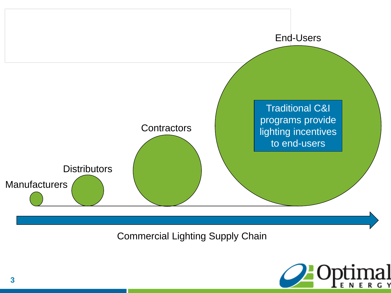

Commercial Lighting Supply Chain

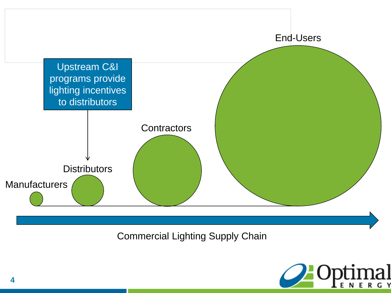

Commercial Lighting Supply Chain

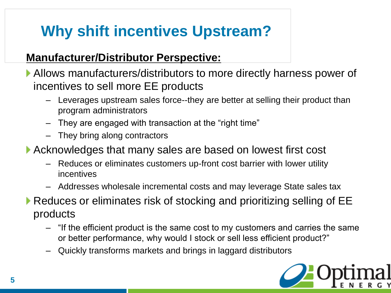# **Why shift incentives Upstream?**

#### **Manufacturer/Distributor Perspective:**

- Allows manufacturers/distributors to more directly harness power of incentives to sell more EE products
	- Leverages upstream sales force--they are better at selling their product than program administrators
	- They are engaged with transaction at the "right time"
	- They bring along contractors
- Acknowledges that many sales are based on lowest first cost
	- Reduces or eliminates customers up-front cost barrier with lower utility incentives
	- Addresses wholesale incremental costs and may leverage State sales tax
- ▶ Reduces or eliminates risk of stocking and prioritizing selling of EE products
	- "If the efficient product is the same cost to my customers and carries the same or better performance, why would I stock or sell less efficient product?"
	- Quickly transforms markets and brings in laggard distributors

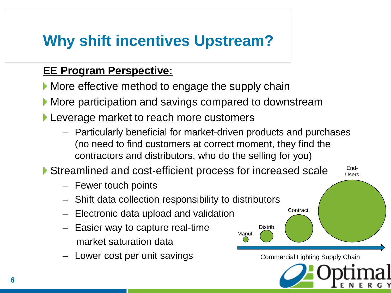## **Why shift incentives Upstream?**

#### **EE Program Perspective:**

- More effective method to engage the supply chain
- **More participation and savings compared to downstream**
- **Leverage market to reach more customers** 
	- Particularly beneficial for market-driven products and purchases (no need to find customers at correct moment, they find the contractors and distributors, who do the selling for you)

Manuf.

Distrib.

Commercial Lighting Supply Chain

End-Users

Contract.

▶ Streamlined and cost-efficient process for increased scale

- Fewer touch points
- Shift data collection responsibility to distributors
- Electronic data upload and validation
- Easier way to capture real-time market saturation data
- Lower cost per unit savings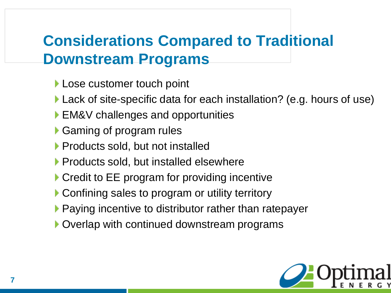## **Considerations Compared to Traditional Downstream Programs**

- **Lose customer touch point**
- ▶ Lack of site-specific data for each installation? (e.g. hours of use)
- ▶ EM&V challenges and opportunities
- ▶ Gaming of program rules
- **Products sold, but not installed**
- **Products sold, but installed elsewhere**
- ▶ Credit to EE program for providing incentive
- ▶ Confining sales to program or utility territory
- ▶ Paying incentive to distributor rather than ratepayer
- ▶ Overlap with continued downstream programs

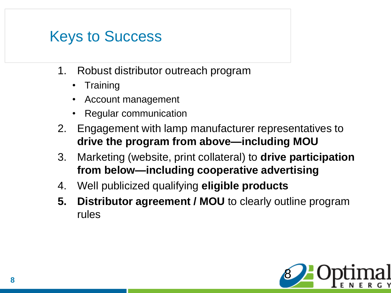#### Keys to Success

- 1. Robust distributor outreach program
	- Training
	- Account management
	- Regular communication
- 2. Engagement with lamp manufacturer representatives to **drive the program from above—including MOU**
- 3. Marketing (website, print collateral) to **drive participation from below—including cooperative advertising**
- 4. Well publicized qualifying **eligible products**
- **5. Distributor agreement / MOU** to clearly outline program rules

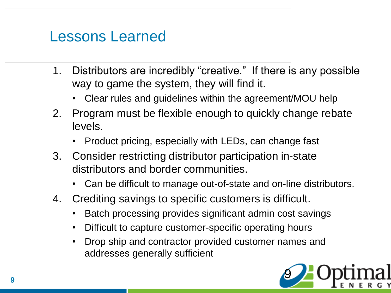#### Lessons Learned

- 1. Distributors are incredibly "creative." If there is any possible way to game the system, they will find it.
	- Clear rules and guidelines within the agreement/MOU help
- 2. Program must be flexible enough to quickly change rebate levels.
	- Product pricing, especially with LEDs, can change fast
- 3. Consider restricting distributor participation in-state distributors and border communities.
	- Can be difficult to manage out-of-state and on-line distributors.
- 4. Crediting savings to specific customers is difficult.
	- Batch processing provides significant admin cost savings
	- Difficult to capture customer-specific operating hours
	- Drop ship and contractor provided customer names and addresses generally sufficient

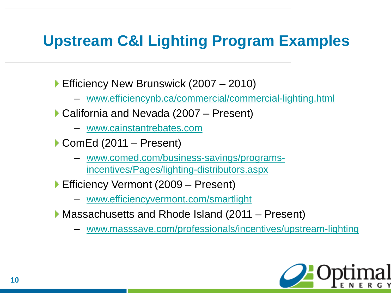## **Upstream C&I Lighting Program Examples**

▶ Efficiency New Brunswick (2007 – 2010)

- [www.efficiencynb.ca/commercial/commercial-lighting.html](http://www.efficiencynb.ca/commercial/commercial-lighting.html)
- ▶ California and Nevada (2007 Present)
	- [www.cainstantrebates.com](http://www.cainstantrebates.com/)
- ▶ ComEd (2011 Present)
	- www.comed.com/business-savings/programs[incentives/Pages/lighting-distributors.aspx](https://www.comed.com/business-savings/programs-incentives/Pages/lighting-distributors.aspx)
- ▶ Efficiency Vermont (2009 Present)
	- [www.efficiencyvermont.com/smartlight](http://www.efficiencyvermont.com/smartlight)
- ▶ Massachusetts and Rhode Island (2011 Present)
	- [www.masssave.com/professionals/incentives/upstream-lighting](http://www.masssave.com/professionals/incentives/upstream-lighting)

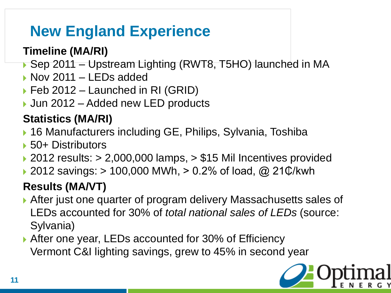# **New England Experience**

#### **Timeline (MA/RI)**

- ▶ Sep 2011 Upstream Lighting (RWT8, T5HO) launched in MA
- Nov 2011 LEDs added
- ▶ Feb 2012 Launched in RI (GRID)
- ▶ Jun 2012 Added new LED products

#### **Statistics (MA/RI)**

- ▶ 16 Manufacturers including GE, Philips, Sylvania, Toshiba
- ▶ 50+ Distributors
- $\rightarrow$  2012 results:  $> 2,000,000$  lamps,  $> $15$  Mil Incentives provided
- 2012 savings: > 100,000 MWh, > 0.2% of load, @ 21₵/kwh

#### **Results (MA/VT)**

- After just one quarter of program delivery Massachusetts sales of LEDs accounted for 30% of *total national sales of LEDs* (source: Sylvania)
- ▶ After one year, LEDs accounted for 30% of Efficiency Vermont C&I lighting savings, grew to 45% in second year

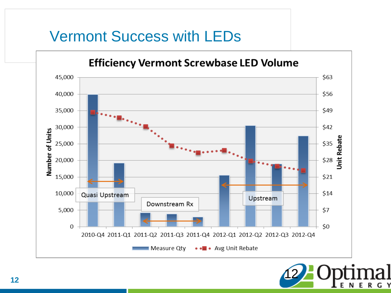## Vermont Success with LEDs



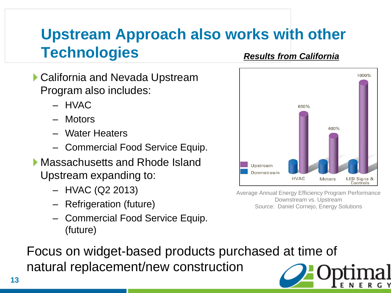#### **Upstream Approach also works with other Technologies** *Results from California*

- ▶ California and Nevada Upstream Program also includes:
	- HVAC
	- Motors
	- Water Heaters
	- Commercial Food Service Equip.
- ▶ Massachusetts and Rhode Island Upstream expanding to:
	- HVAC (Q2 2013)
	- Refrigeration (future)
	- Commercial Food Service Equip. (future)



Average Annual Energy Efficiency Program Performance Downstream vs. Upstream Source: Daniel Cornejo, Energy Solutions

Focus on widget-based products purchased at time of natural replacement/new construction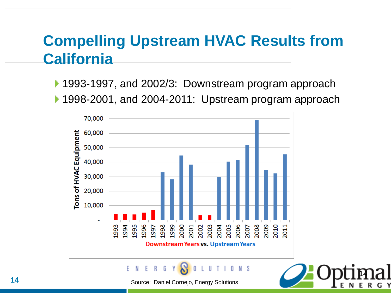## **Compelling Upstream HVAC Results from California**

▶ 1993-1997, and 2002/3: Downstream program approach ▶ 1998-2001, and 2004-2011: Upstream program approach